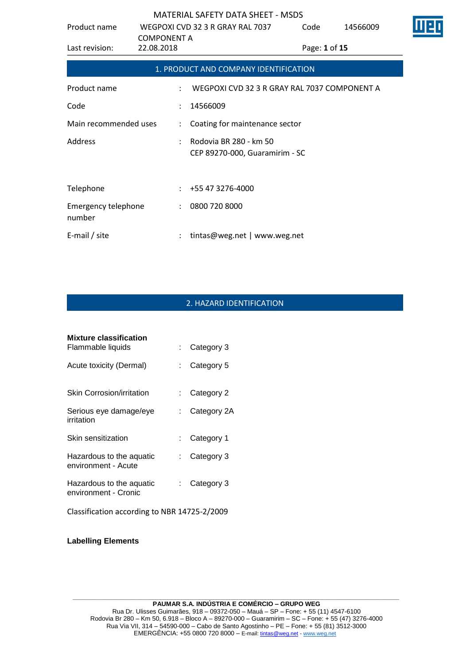| Product name                  | <b>COMPONENT A</b> | WEGPOXI CVD 32 3 R GRAY RAL 7037                         | Code          | 14566009 |  |
|-------------------------------|--------------------|----------------------------------------------------------|---------------|----------|--|
| Last revision:                | 22.08.2018         |                                                          | Page: 1 of 15 |          |  |
|                               |                    | 1. PRODUCT AND COMPANY IDENTIFICATION                    |               |          |  |
| Product name                  |                    | WEGPOXI CVD 32 3 R GRAY RAL 7037 COMPONENT A             |               |          |  |
| Code                          |                    | 14566009                                                 |               |          |  |
| Main recommended uses         |                    | Coating for maintenance sector                           |               |          |  |
| Address                       |                    | Rodovia BR 280 - km 50<br>CEP 89270-000, Guaramirim - SC |               |          |  |
| Telephone                     |                    | +55 47 3276-4000                                         |               |          |  |
| Emergency telephone<br>number |                    | 0800 720 8000                                            |               |          |  |
| E-mail / site                 |                    | tintas@weg.net   www.weg.net                             |               |          |  |

# 2. HAZARD IDENTIFICATION

| <b>Mixture classification</b>                    |    |             |
|--------------------------------------------------|----|-------------|
| Flammable liquids                                |    | Category 3  |
| Acute toxicity (Dermal)                          | t. | Category 5  |
| <b>Skin Corrosion/irritation</b>                 |    | Category 2  |
| Serious eye damage/eye<br>irritation             |    | Category 2A |
| Skin sensitization                               |    | Category 1  |
| Hazardous to the aquatic<br>environment - Acute  | t. | Category 3  |
| Hazardous to the aquatic<br>environment - Cronic |    | Category 3  |
| Classification according to NBR 14725-2/2009     |    |             |

**Labelling Elements**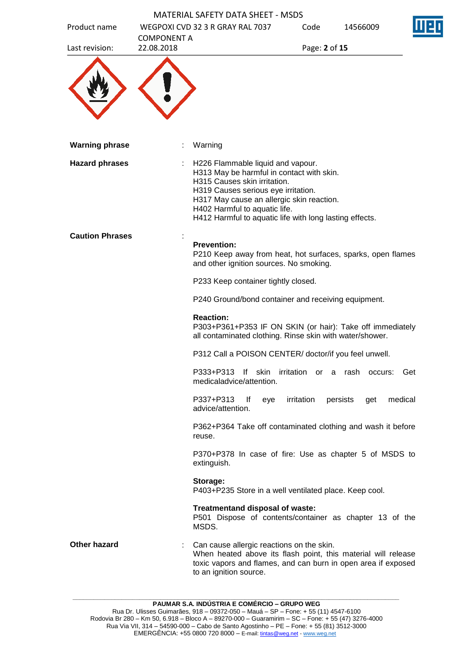|                        |                    | MATERIAL SAFETY DATA SHEFT - MSDS                                                                                                                                                                                                                                                              |               |                 |         |
|------------------------|--------------------|------------------------------------------------------------------------------------------------------------------------------------------------------------------------------------------------------------------------------------------------------------------------------------------------|---------------|-----------------|---------|
| Product name           | <b>COMPONENT A</b> | WEGPOXI CVD 32 3 R GRAY RAL 7037                                                                                                                                                                                                                                                               | Code          | 14566009        |         |
| Last revision:         | 22.08.2018         |                                                                                                                                                                                                                                                                                                | Page: 2 of 15 |                 |         |
|                        |                    |                                                                                                                                                                                                                                                                                                |               |                 |         |
| <b>Warning phrase</b>  |                    | Warning                                                                                                                                                                                                                                                                                        |               |                 |         |
| <b>Hazard phrases</b>  |                    | H226 Flammable liquid and vapour.<br>H313 May be harmful in contact with skin.<br>H315 Causes skin irritation.<br>H319 Causes serious eye irritation.<br>H317 May cause an allergic skin reaction.<br>H402 Harmful to aquatic life.<br>H412 Harmful to aquatic life with long lasting effects. |               |                 |         |
| <b>Caution Phrases</b> |                    | <b>Prevention:</b><br>P210 Keep away from heat, hot surfaces, sparks, open flames<br>and other ignition sources. No smoking.                                                                                                                                                                   |               |                 |         |
|                        |                    | P233 Keep container tightly closed.                                                                                                                                                                                                                                                            |               |                 |         |
|                        |                    | P240 Ground/bond container and receiving equipment.                                                                                                                                                                                                                                            |               |                 |         |
|                        |                    | <b>Reaction:</b><br>P303+P361+P353 IF ON SKIN (or hair): Take off immediately<br>all contaminated clothing. Rinse skin with water/shower.                                                                                                                                                      |               |                 |         |
|                        |                    | P312 Call a POISON CENTER/ doctor/if you feel unwell.                                                                                                                                                                                                                                          |               |                 |         |
|                        |                    | P333+P313 If skin irritation or a rash occurs:<br>medicaladvice/attention.                                                                                                                                                                                                                     |               |                 | Get     |
|                        |                    | P337+P313<br>lf<br>eye<br>advice/attention.                                                                                                                                                                                                                                                    | irritation    | persists<br>get | medical |
|                        |                    | P362+P364 Take off contaminated clothing and wash it before<br>reuse.                                                                                                                                                                                                                          |               |                 |         |
|                        |                    | P370+P378 In case of fire: Use as chapter 5 of MSDS to<br>extinguish.                                                                                                                                                                                                                          |               |                 |         |
|                        |                    | Storage:<br>P403+P235 Store in a well ventilated place. Keep cool.                                                                                                                                                                                                                             |               |                 |         |
|                        |                    | Treatmentand disposal of waste:<br>P501 Dispose of contents/container as chapter 13 of the<br>MSDS.                                                                                                                                                                                            |               |                 |         |
| <b>Other hazard</b>    |                    | Can cause allergic reactions on the skin.<br>When heated above its flash point, this material will release<br>toxic vapors and flames, and can burn in open area if exposed<br>to an ignition source.                                                                                          |               |                 |         |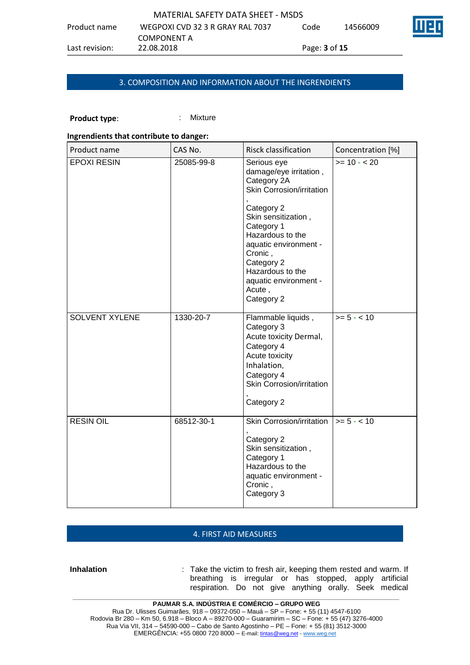### 3. COMPOSITION AND INFORMATION ABOUT THE INGRENDIENTS

# **Product type:** : : : : : Mixture

## **Ingrendients that contribute to danger:**

| Product name          | CAS No.    | Risck classification                                                                                                                                                                                                                                                            | Concentration [%] |
|-----------------------|------------|---------------------------------------------------------------------------------------------------------------------------------------------------------------------------------------------------------------------------------------------------------------------------------|-------------------|
| <b>EPOXI RESIN</b>    | 25085-99-8 | Serious eye<br>damage/eye irritation,<br>Category 2A<br>Skin Corrosion/irritation<br>Category 2<br>Skin sensitization,<br>Category 1<br>Hazardous to the<br>aquatic environment -<br>Cronic,<br>Category 2<br>Hazardous to the<br>aquatic environment -<br>Acute,<br>Category 2 | $>= 10 - 20$      |
| <b>SOLVENT XYLENE</b> | 1330-20-7  | Flammable liquids,<br>Category 3<br>Acute toxicity Dermal,<br>Category 4<br>Acute toxicity<br>Inhalation,<br>Category 4<br>Skin Corrosion/irritation<br>Category 2                                                                                                              | $>= 5 - < 10$     |
| <b>RESIN OIL</b>      | 68512-30-1 | Skin Corrosion/irritation  <br>Category 2<br>Skin sensitization,<br>Category 1<br>Hazardous to the<br>aquatic environment -<br>Cronic,<br>Category 3                                                                                                                            | $>= 5 - < 10$     |

#### 4. FIRST AID MEASURES

**Inhalation** : Take the victim to fresh air, keeping them rested and warm. If breathing is irregular or has stopped, apply artificial respiration. Do not give anything orally. Seek medical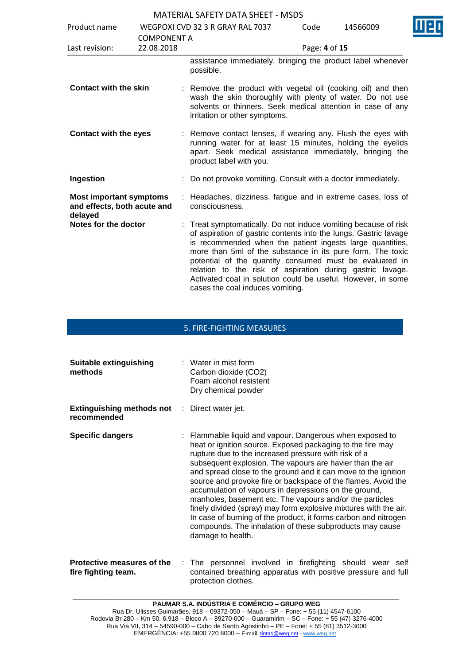| Product name                                                             |                                  | WEGPOXI CVD 32 3 R GRAY RAL 7037                                                                                                                                                                                                                                                                                                                                                                                                                                                           | Code          | 14566009 |  |
|--------------------------------------------------------------------------|----------------------------------|--------------------------------------------------------------------------------------------------------------------------------------------------------------------------------------------------------------------------------------------------------------------------------------------------------------------------------------------------------------------------------------------------------------------------------------------------------------------------------------------|---------------|----------|--|
| Last revision:                                                           | <b>COMPONENT A</b><br>22.08.2018 |                                                                                                                                                                                                                                                                                                                                                                                                                                                                                            | Page: 4 of 15 |          |  |
|                                                                          |                                  | assistance immediately, bringing the product label whenever<br>possible.                                                                                                                                                                                                                                                                                                                                                                                                                   |               |          |  |
| <b>Contact with the skin</b>                                             |                                  | : Remove the product with vegetal oil (cooking oil) and then<br>wash the skin thoroughly with plenty of water. Do not use<br>solvents or thinners. Seek medical attention in case of any<br>irritation or other symptoms.                                                                                                                                                                                                                                                                  |               |          |  |
| <b>Contact with the eyes</b>                                             |                                  | : Remove contact lenses, if wearing any. Flush the eyes with<br>running water for at least 15 minutes, holding the eyelids<br>apart. Seek medical assistance immediately, bringing the<br>product label with you.                                                                                                                                                                                                                                                                          |               |          |  |
| Ingestion                                                                |                                  | Do not provoke vomiting. Consult with a doctor immediately.                                                                                                                                                                                                                                                                                                                                                                                                                                |               |          |  |
| <b>Most important symptoms</b><br>and effects, both acute and<br>delayed |                                  | : Headaches, dizziness, fatigue and in extreme cases, loss of<br>consciousness.                                                                                                                                                                                                                                                                                                                                                                                                            |               |          |  |
| Notes for the doctor                                                     |                                  | : Treat symptomatically. Do not induce vomiting because of risk<br>of aspiration of gastric contents into the lungs. Gastric lavage<br>is recommended when the patient ingests large quantities,<br>more than 5ml of the substance in its pure form. The toxic<br>potential of the quantity consumed must be evaluated in<br>relation to the risk of aspiration during gastric lavage.<br>Activated coal in solution could be useful. However, in some<br>cases the coal induces vomiting. |               |          |  |

## 5. FIRE-FIGHTING MEASURES

| Suitable extinguishing<br>methods                                   | $:$ Water in mist form<br>Carbon dioxide (CO2)<br>Foam alcohol resistent<br>Dry chemical powder                                                                                                                                                                                                                                                                                                                                                                                                                                                                                                                                                                                                                             |
|---------------------------------------------------------------------|-----------------------------------------------------------------------------------------------------------------------------------------------------------------------------------------------------------------------------------------------------------------------------------------------------------------------------------------------------------------------------------------------------------------------------------------------------------------------------------------------------------------------------------------------------------------------------------------------------------------------------------------------------------------------------------------------------------------------------|
| <b>Extinguishing methods not : Direct water jet.</b><br>recommended |                                                                                                                                                                                                                                                                                                                                                                                                                                                                                                                                                                                                                                                                                                                             |
| <b>Specific dangers</b>                                             | : Flammable liquid and vapour. Dangerous when exposed to<br>heat or ignition source. Exposed packaging to the fire may<br>rupture due to the increased pressure with risk of a<br>subsequent explosion. The vapours are havier than the air<br>and spread close to the ground and it can move to the ignition<br>source and provoke fire or backspace of the flames. Avoid the<br>accumulation of vapours in depressions on the ground,<br>manholes, basement etc. The vapours and/or the particles<br>finely divided (spray) may form explosive mixtures with the air.<br>In case of burning of the product, it forms carbon and nitrogen<br>compounds. The inhalation of these subproducts may cause<br>damage to health. |
| Protective measures of the                                          | : The personnel involved in firefighting should wear self                                                                                                                                                                                                                                                                                                                                                                                                                                                                                                                                                                                                                                                                   |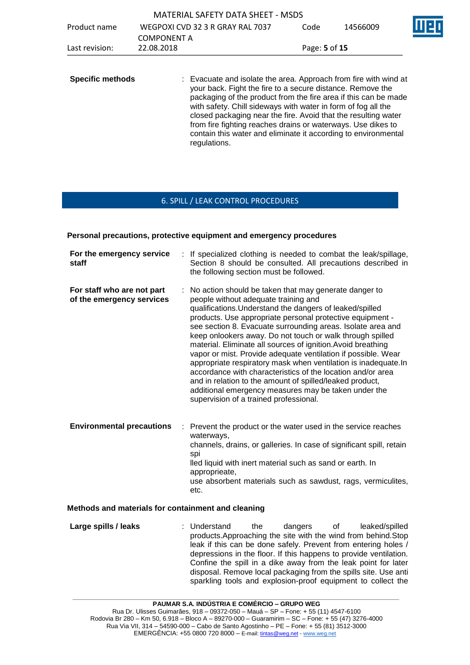| Product name            | <b>COMPONENT A</b> | <b>MATERIAL SAFETY DATA SHEET - MSDS</b><br>WEGPOXI CVD 32 3 R GRAY RAL 7037                                                                                                                                                                                                                                                                                                                                                                                                           | Code          | 14566009 |  |
|-------------------------|--------------------|----------------------------------------------------------------------------------------------------------------------------------------------------------------------------------------------------------------------------------------------------------------------------------------------------------------------------------------------------------------------------------------------------------------------------------------------------------------------------------------|---------------|----------|--|
| Last revision:          | 22.08.2018         |                                                                                                                                                                                                                                                                                                                                                                                                                                                                                        | Page: 5 of 15 |          |  |
| <b>Specific methods</b> |                    | : Evacuate and isolate the area. Approach from fire with wind at<br>your back. Fight the fire to a secure distance. Remove the<br>packaging of the product from the fire area if this can be made<br>with safety. Chill sideways with water in form of fog all the<br>closed packaging near the fire. Avoid that the resulting water<br>from fire fighting reaches drains or waterways. Use dikes to<br>contain this water and eliminate it according to environmental<br>regulations. |               |          |  |

## 6. SPILL / LEAK CONTROL PROCEDURES

#### **Personal precautions, protective equipment and emergency procedures**

| For the emergency service<br>staff                      | : If specialized clothing is needed to combat the leak/spillage,<br>Section 8 should be consulted. All precautions described in<br>the following section must be followed.                                                                                                                                                                                                                                                                                                                                                                                                                                                                                                                                                                                                           |
|---------------------------------------------------------|--------------------------------------------------------------------------------------------------------------------------------------------------------------------------------------------------------------------------------------------------------------------------------------------------------------------------------------------------------------------------------------------------------------------------------------------------------------------------------------------------------------------------------------------------------------------------------------------------------------------------------------------------------------------------------------------------------------------------------------------------------------------------------------|
| For staff who are not part<br>of the emergency services | : No action should be taken that may generate danger to<br>people without adequate training and<br>qualifications. Understand the dangers of leaked/spilled<br>products. Use appropriate personal protective equipment -<br>see section 8. Evacuate surrounding areas. Isolate area and<br>keep onlookers away. Do not touch or walk through spilled<br>material. Eliminate all sources of ignition. Avoid breathing<br>vapor or mist. Provide adequate ventilation if possible. Wear<br>appropriate respiratory mask when ventilation is inadequate.In<br>accordance with characteristics of the location and/or area<br>and in relation to the amount of spilled/leaked product,<br>additional emergency measures may be taken under the<br>supervision of a trained professional. |
| <b>Environmental precautions</b><br>÷.                  | Prevent the product or the water used in the service reaches<br>waterways,<br>channels, drains, or galleries. In case of significant spill, retain<br>spi<br>lled liquid with inert material such as sand or earth. In<br>approprieate,<br>use absorbent materials such as sawdust, rags, vermiculites,<br>etc.                                                                                                                                                                                                                                                                                                                                                                                                                                                                      |

#### **Methods and materials for containment and cleaning**

**Large spills / leaks** : Understand the dangers of leaked/spilled products.Approaching the site with the wind from behind.Stop leak if this can be done safely. Prevent from entering holes / depressions in the floor. If this happens to provide ventilation. Confine the spill in a dike away from the leak point for later disposal. Remove local packaging from the spills site. Use anti sparkling tools and explosion-proof equipment to collect the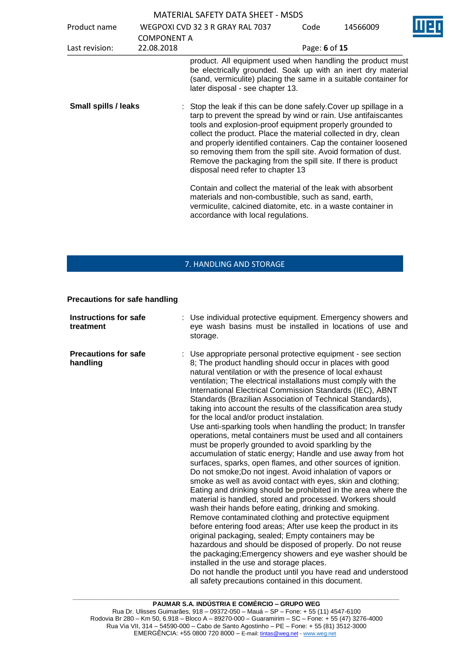| Product name                | <b>COMPONENT A</b> | WEGPOXI CVD 32 3 R GRAY RAL 7037                                                                                                                                                                                                                                                                                                                                                                                                                                                                              | Code          | 14566009 |  |
|-----------------------------|--------------------|---------------------------------------------------------------------------------------------------------------------------------------------------------------------------------------------------------------------------------------------------------------------------------------------------------------------------------------------------------------------------------------------------------------------------------------------------------------------------------------------------------------|---------------|----------|--|
| Last revision:              | 22.08.2018         |                                                                                                                                                                                                                                                                                                                                                                                                                                                                                                               | Page: 6 of 15 |          |  |
|                             |                    | product. All equipment used when handling the product must<br>be electrically grounded. Soak up with an inert dry material<br>(sand, vermiculite) placing the same in a suitable container for<br>later disposal - see chapter 13.                                                                                                                                                                                                                                                                            |               |          |  |
| <b>Small spills / leaks</b> |                    | : Stop the leak if this can be done safely. Cover up spillage in a<br>tarp to prevent the spread by wind or rain. Use antifaiscantes<br>tools and explosion-proof equipment properly grounded to<br>collect the product. Place the material collected in dry, clean<br>and properly identified containers. Cap the container loosened<br>so removing them from the spill site. Avoid formation of dust.<br>Remove the packaging from the spill site. If there is product<br>disposal need refer to chapter 13 |               |          |  |
|                             |                    | Contain and collect the material of the leak with absorbent<br>materials and non-combustible, such as sand, earth,<br>vermiculite, calcined diatomite, etc. in a waste container in<br>accordance with local regulations.                                                                                                                                                                                                                                                                                     |               |          |  |

## 7. HANDLING AND STORAGE

**Precautions for safe handling**

| <b>Instructions for safe</b><br>treatment | : Use individual protective equipment. Emergency showers and<br>eye wash basins must be installed in locations of use and<br>storage.                                                                                                                                                                                                                                                                                                                                                                                                                                                                                                                                                                                                                                                                                                                                                                                                                                                                                                                                                                                                                                                                                                                                                                                                                                                                                                                                                                                                                                                                                            |
|-------------------------------------------|----------------------------------------------------------------------------------------------------------------------------------------------------------------------------------------------------------------------------------------------------------------------------------------------------------------------------------------------------------------------------------------------------------------------------------------------------------------------------------------------------------------------------------------------------------------------------------------------------------------------------------------------------------------------------------------------------------------------------------------------------------------------------------------------------------------------------------------------------------------------------------------------------------------------------------------------------------------------------------------------------------------------------------------------------------------------------------------------------------------------------------------------------------------------------------------------------------------------------------------------------------------------------------------------------------------------------------------------------------------------------------------------------------------------------------------------------------------------------------------------------------------------------------------------------------------------------------------------------------------------------------|
| <b>Precautions for safe</b><br>handling   | : Use appropriate personal protective equipment - see section<br>8; The product handling should occur in places with good<br>natural ventilation or with the presence of local exhaust<br>ventilation; The electrical installations must comply with the<br>International Electrical Commission Standards (IEC), ABNT<br>Standards (Brazilian Association of Technical Standards),<br>taking into account the results of the classification area study<br>for the local and/or product instalation.<br>Use anti-sparking tools when handling the product; In transfer<br>operations, metal containers must be used and all containers<br>must be properly grounded to avoid sparkling by the<br>accumulation of static energy; Handle and use away from hot<br>surfaces, sparks, open flames, and other sources of ignition.<br>Do not smoke; Do not ingest. Avoid inhalation of vapors or<br>smoke as well as avoid contact with eyes, skin and clothing;<br>Eating and drinking should be prohibited in the area where the<br>material is handled, stored and processed. Workers should<br>wash their hands before eating, drinking and smoking.<br>Remove contaminated clothing and protective equipment<br>before entering food areas; After use keep the product in its<br>original packaging, sealed; Empty containers may be<br>hazardous and should be disposed of properly. Do not reuse<br>the packaging; Emergency showers and eye washer should be<br>installed in the use and storage places.<br>Do not handle the product until you have read and understood<br>all safety precautions contained in this document. |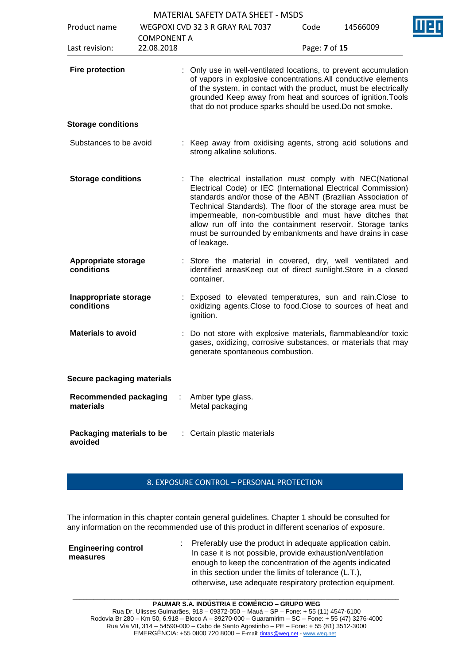| <b>MATERIAL SAFETY DATA SHEET - MSDS</b> |  |
|------------------------------------------|--|
|------------------------------------------|--|

|                                           |                    | MATERIAL SAFETY DATA SHEET - MSDS                                                                                                                                                                                                                                                                                                                                                                                                                               |               |          |
|-------------------------------------------|--------------------|-----------------------------------------------------------------------------------------------------------------------------------------------------------------------------------------------------------------------------------------------------------------------------------------------------------------------------------------------------------------------------------------------------------------------------------------------------------------|---------------|----------|
| Product name                              | <b>COMPONENT A</b> | WEGPOXI CVD 32 3 R GRAY RAL 7037                                                                                                                                                                                                                                                                                                                                                                                                                                | Code          | 14566009 |
| Last revision:                            | 22.08.2018         |                                                                                                                                                                                                                                                                                                                                                                                                                                                                 | Page: 7 of 15 |          |
| <b>Fire protection</b>                    |                    | : Only use in well-ventilated locations, to prevent accumulation<br>of vapors in explosive concentrations. All conductive elements<br>of the system, in contact with the product, must be electrically<br>grounded Keep away from heat and sources of ignition. Tools<br>that do not produce sparks should be used. Do not smoke.                                                                                                                               |               |          |
| <b>Storage conditions</b>                 |                    |                                                                                                                                                                                                                                                                                                                                                                                                                                                                 |               |          |
| Substances to be avoid                    |                    | : Keep away from oxidising agents, strong acid solutions and<br>strong alkaline solutions.                                                                                                                                                                                                                                                                                                                                                                      |               |          |
| <b>Storage conditions</b>                 |                    | The electrical installation must comply with NEC(National<br>Electrical Code) or IEC (International Electrical Commission)<br>standards and/or those of the ABNT (Brazilian Association of<br>Technical Standards). The floor of the storage area must be<br>impermeable, non-combustible and must have ditches that<br>allow run off into the containment reservoir. Storage tanks<br>must be surrounded by embankments and have drains in case<br>of leakage. |               |          |
| <b>Appropriate storage</b><br>conditions  |                    | Store the material in covered, dry, well ventilated and<br>identified areasKeep out of direct sunlight. Store in a closed<br>container.                                                                                                                                                                                                                                                                                                                         |               |          |
| Inappropriate storage<br>conditions       |                    | Exposed to elevated temperatures, sun and rain. Close to<br>oxidizing agents. Close to food. Close to sources of heat and<br>ignition.                                                                                                                                                                                                                                                                                                                          |               |          |
| <b>Materials to avoid</b>                 |                    | Do not store with explosive materials, flammableand/or toxic<br>gases, oxidizing, corrosive substances, or materials that may<br>generate spontaneous combustion.                                                                                                                                                                                                                                                                                               |               |          |
| Secure packaging materials                |                    |                                                                                                                                                                                                                                                                                                                                                                                                                                                                 |               |          |
| <b>Recommended packaging</b><br>materials |                    | Amber type glass.<br>Metal packaging                                                                                                                                                                                                                                                                                                                                                                                                                            |               |          |
| Packaging materials to be<br>avoided      |                    | Certain plastic materials                                                                                                                                                                                                                                                                                                                                                                                                                                       |               |          |

## 8. EXPOSURE CONTROL – PERSONAL PROTECTION

The information in this chapter contain general guidelines. Chapter 1 should be consulted for any information on the recommended use of this product in different scenarios of exposure.

| <b>Engineering control</b><br>measures | : Preferably use the product in adequate application cabin.<br>In case it is not possible, provide exhaustion/ventilation<br>enough to keep the concentration of the agents indicated<br>in this section under the limits of tolerance $(L.T.)$ , |
|----------------------------------------|---------------------------------------------------------------------------------------------------------------------------------------------------------------------------------------------------------------------------------------------------|
|                                        | otherwise, use adequate respiratory protection equipment.                                                                                                                                                                                         |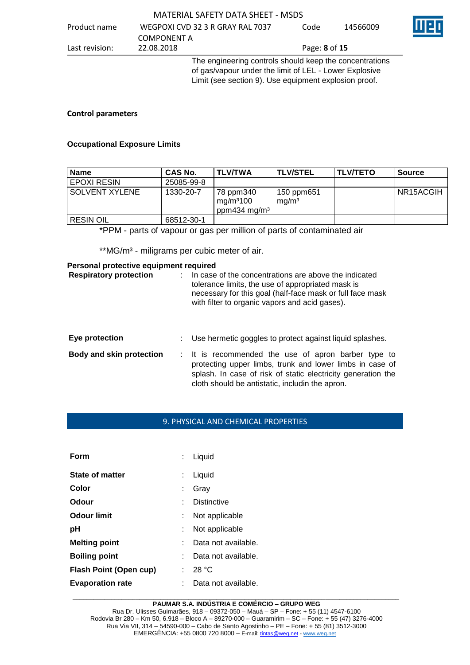#### Product name WEGPOXI CVD 32 3 R GRAY RAL 7037 COMPONENT A<br>22.08.2018 Code 14566009 Last revision: 22.08.2018 Page: **8** of **15** The engineering controls should keep the concentrations of gas/vapour under the limit of LEL - Lower Explosive

Limit (see section 9). Use equipment explosion proof.

### **Control parameters**

## **Occupational Exposure Limits**

| <b>Name</b>           | CAS No.    | <b>TLV/TWA</b>                                                 | <b>TLV/STEL</b>                 | <b>ITLV/TETO</b> | <b>Source</b> |
|-----------------------|------------|----------------------------------------------------------------|---------------------------------|------------------|---------------|
| ' EPOXI RESIN         | 25085-99-8 |                                                                |                                 |                  |               |
| <b>SOLVENT XYLENE</b> | 1330-20-7  | 78 ppm340<br>mg/m <sup>3</sup> 100<br>ppm434 mg/m <sup>3</sup> | 150 ppm651<br>mg/m <sup>3</sup> |                  | NR15ACGIH     |
| <b>RESIN OIL</b>      | 68512-30-1 |                                                                |                                 |                  |               |

\*PPM - parts of vapour or gas per million of parts of contaminated air

\*\*MG/m<sup>3</sup> - miligrams per cubic meter of air.

#### **Personal protective equipment required**

| <b>Respiratory protection</b> | In case of the concentrations are above the indicated<br>tolerance limits, the use of appropriated mask is<br>necessary for this goal (half-face mask or full face mask<br>with filter to organic vapors and acid gases).          |
|-------------------------------|------------------------------------------------------------------------------------------------------------------------------------------------------------------------------------------------------------------------------------|
| Eye protection                | Use hermetic goggles to protect against liquid splashes.                                                                                                                                                                           |
| Body and skin protection      | : It is recommended the use of apron barber type to<br>protecting upper limbs, trunk and lower limbs in case of<br>splash. In case of risk of static electricity generation the<br>cloth should be antistatic, includin the apron. |

#### 9. PHYSICAL AND CHEMICAL PROPERTIES

| Form                          |    | Liquid              |
|-------------------------------|----|---------------------|
| <b>State of matter</b>        |    | Liquid              |
| Color                         | ÷. | Gray                |
| Odour                         |    | <b>Distinctive</b>  |
| Odour limit                   |    | Not applicable      |
| рH                            |    | Not applicable      |
| <b>Melting point</b>          |    | Data not available. |
| <b>Boiling point</b>          |    | Data not available. |
| <b>Flash Point (Open cup)</b> | t. | 28 °C               |
| <b>Evaporation rate</b>       |    | Data not available. |

#### **\_\_\_\_\_\_\_\_\_\_\_\_\_\_\_\_\_\_\_\_\_\_\_\_\_\_\_\_\_\_\_\_\_\_\_\_\_\_\_\_\_\_\_\_\_\_\_\_\_\_\_\_\_\_\_\_\_\_\_\_\_\_\_\_\_\_\_\_\_\_\_\_\_\_\_\_\_\_\_\_\_\_\_\_\_\_\_\_\_\_\_\_\_ PAUMAR S.A. INDÚSTRIA E COMÉRCIO – GRUPO WEG**

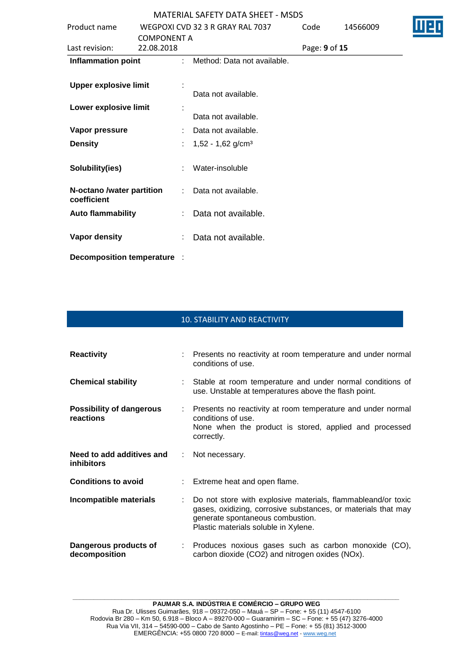| Product name                     |                    |                | WEGPOXI CVD 32 3 R GRAY RAL 7037 | Code          | 14566009 |
|----------------------------------|--------------------|----------------|----------------------------------|---------------|----------|
|                                  | <b>COMPONENT A</b> |                |                                  |               |          |
| Last revision:                   | 22.08.2018         |                |                                  | Page: 9 of 15 |          |
| <b>Inflammation point</b>        |                    | $\mathbb{R}^n$ | Method: Data not available.      |               |          |
|                                  |                    |                |                                  |               |          |
| <b>Upper explosive limit</b>     |                    |                |                                  |               |          |
|                                  |                    |                | Data not available.              |               |          |
| Lower explosive limit            |                    |                |                                  |               |          |
|                                  |                    |                | Data not available.              |               |          |
| Vapor pressure                   |                    |                | Data not available.              |               |          |
| <b>Density</b>                   |                    |                | $1,52 - 1,62$ g/cm <sup>3</sup>  |               |          |
|                                  |                    |                |                                  |               |          |
| Solubility(ies)                  |                    |                | Water-insoluble                  |               |          |
|                                  |                    |                |                                  |               |          |
| N-octano /water partition        |                    |                | Data not available.              |               |          |
| coefficient                      |                    |                |                                  |               |          |
| <b>Auto flammability</b>         |                    |                | Data not available.              |               |          |
|                                  |                    |                |                                  |               |          |
| Vapor density                    |                    |                | Data not available.              |               |          |
|                                  |                    |                |                                  |               |          |
| <b>Decomposition temperature</b> |                    |                |                                  |               |          |

# 10. STABILITY AND REACTIVITY

| <b>Reactivity</b>                              |    | : Presents no reactivity at room temperature and under normal<br>conditions of use.                                                                                                                       |  |
|------------------------------------------------|----|-----------------------------------------------------------------------------------------------------------------------------------------------------------------------------------------------------------|--|
| <b>Chemical stability</b>                      |    | : Stable at room temperature and under normal conditions of<br>use. Unstable at temperatures above the flash point.                                                                                       |  |
| <b>Possibility of dangerous</b><br>reactions   |    | : Presents no reactivity at room temperature and under normal<br>conditions of use.<br>None when the product is stored, applied and processed<br>correctly.                                               |  |
| Need to add additives and<br><i>inhibitors</i> |    | : Not necessary.                                                                                                                                                                                          |  |
| <b>Conditions to avoid</b>                     |    | : Extreme heat and open flame.                                                                                                                                                                            |  |
| Incompatible materials                         | t. | Do not store with explosive materials, flammableand/or toxic<br>gases, oxidizing, corrosive substances, or materials that may<br>generate spontaneous combustion.<br>Plastic materials soluble in Xylene. |  |
| Dangerous products of<br>decomposition         |    | : Produces noxious gases such as carbon monoxide (CO),<br>carbon dioxide (CO2) and nitrogen oxides (NOx).                                                                                                 |  |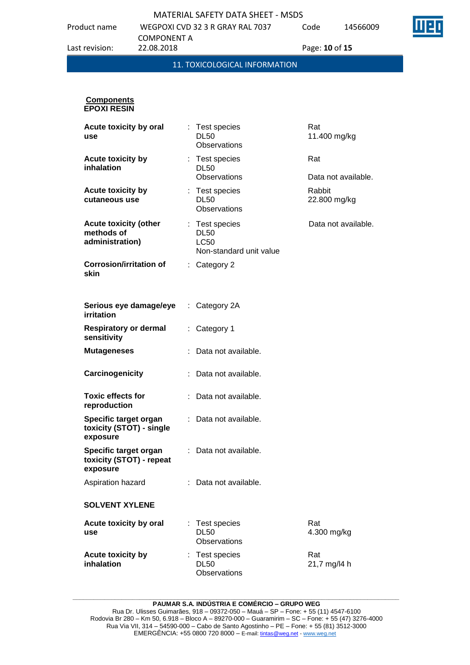Product name WEGPOXI CVD 32 3 R GRAY RAL 7037 COMPONENT A

14566009

| Last revision:                                                | COMPONENT A<br>22.08.2018 |                                                                         | Page: 10 of 15             |
|---------------------------------------------------------------|---------------------------|-------------------------------------------------------------------------|----------------------------|
|                                                               |                           | 11. TOXICOLOGICAL INFORMATION                                           |                            |
| <b>Components</b><br><b>EPOXI RESIN</b>                       |                           |                                                                         |                            |
| Acute toxicity by oral<br>use                                 |                           | : Test species<br><b>DL50</b><br>Observations                           | Rat<br>11.400 mg/kg        |
| <b>Acute toxicity by</b><br>inhalation                        |                           | : Test species<br><b>DL50</b><br><b>Observations</b>                    | Rat<br>Data not available. |
| <b>Acute toxicity by</b><br>cutaneous use                     |                           | : Test species<br><b>DL50</b><br>Observations                           | Rabbit<br>22.800 mg/kg     |
| <b>Acute toxicity (other</b><br>methods of<br>administration) |                           | : Test species<br><b>DL50</b><br><b>LC50</b><br>Non-standard unit value | Data not available.        |
| Corrosion/irritation of<br>skin                               |                           | $:$ Category 2                                                          |                            |

| Serious eye damage/eye<br>irritation                          | : Category 2A         |
|---------------------------------------------------------------|-----------------------|
| <b>Respiratory or dermal</b><br>sensitivity                   | : Category 1          |
| <b>Mutageneses</b>                                            | Data not available.   |
| Carcinogenicity                                               | Data not available.   |
| Toxic effects for<br>reproduction                             | Data not available.   |
| Specific target organ<br>toxicity (STOT) - single<br>exposure | Data not available.   |
| Specific target organ<br>toxicity (STOT) - repeat<br>exposure | : Data not available. |
| Aspiration hazard                                             | Data not available.   |
| <b>SOLVENT XYLENE</b>                                         |                       |

**Acute toxicity by oral use** : Test species DL50 **Observations** Rat 4.300 mg/kg **Acute toxicity by inhalation** : Test species DL50 **Observations** Rat 21,7 mg/l4 h

**\_\_\_\_\_\_\_\_\_\_\_\_\_\_\_\_\_\_\_\_\_\_\_\_\_\_\_\_\_\_\_\_\_\_\_\_\_\_\_\_\_\_\_\_\_\_\_\_\_\_\_\_\_\_\_\_\_\_\_\_\_\_\_\_\_\_\_\_\_\_\_\_\_\_\_\_\_\_\_\_\_\_\_\_\_\_\_\_\_\_\_\_\_ PAUMAR S.A. INDÚSTRIA E COMÉRCIO – GRUPO WEG**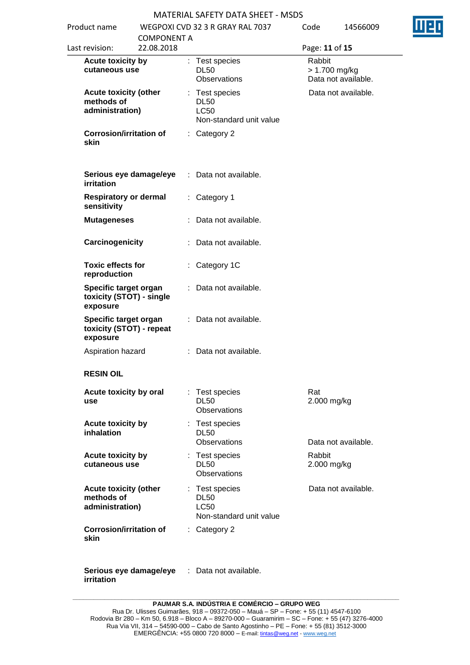| Product name<br>Last revision:                                | WEGPOXI CVD 32 3 R GRAY RAL 7037<br><b>COMPONENT A</b><br>22.08.2018 |  |                                                                         | Code<br>14566009<br>Page: 11 of 15 |                                      |  |
|---------------------------------------------------------------|----------------------------------------------------------------------|--|-------------------------------------------------------------------------|------------------------------------|--------------------------------------|--|
| <b>Acute toxicity by</b><br>cutaneous use                     |                                                                      |  | : Test species<br><b>DL50</b><br>Observations                           | Rabbit                             | > 1.700 mg/kg<br>Data not available. |  |
| <b>Acute toxicity (other</b><br>methods of<br>administration) |                                                                      |  | : Test species<br><b>DL50</b><br><b>LC50</b><br>Non-standard unit value |                                    | Data not available.                  |  |
| <b>Corrosion/irritation of</b><br>skin                        |                                                                      |  | : Category 2                                                            |                                    |                                      |  |
| irritation                                                    | Serious eye damage/eye                                               |  | : Data not available.                                                   |                                    |                                      |  |
| <b>Respiratory or dermal</b><br>sensitivity                   |                                                                      |  | : Category 1                                                            |                                    |                                      |  |
| <b>Mutageneses</b>                                            |                                                                      |  | : Data not available.                                                   |                                    |                                      |  |
| Carcinogenicity                                               |                                                                      |  | : Data not available.                                                   |                                    |                                      |  |
| <b>Toxic effects for</b><br>reproduction                      |                                                                      |  | Category 1C                                                             |                                    |                                      |  |
| Specific target organ<br>toxicity (STOT) - single<br>exposure |                                                                      |  | Data not available.                                                     |                                    |                                      |  |
| Specific target organ<br>toxicity (STOT) - repeat<br>exposure |                                                                      |  | : Data not available.                                                   |                                    |                                      |  |
| Aspiration hazard                                             |                                                                      |  | : Data not available.                                                   |                                    |                                      |  |
| <b>RESIN OIL</b>                                              |                                                                      |  |                                                                         |                                    |                                      |  |
| Acute toxicity by oral<br>use                                 |                                                                      |  | : Test species<br><b>DL50</b><br><b>Observations</b>                    | Rat<br>2.000 mg/kg                 |                                      |  |
| <b>Acute toxicity by</b><br>inhalation                        |                                                                      |  | : Test species<br><b>DL50</b><br>Observations                           |                                    | Data not available.                  |  |
| Acute toxicity by<br>cutaneous use                            |                                                                      |  | : Test species<br><b>DL50</b><br><b>Observations</b>                    | Rabbit<br>2.000 mg/kg              |                                      |  |
| <b>Acute toxicity (other</b><br>methods of<br>administration) |                                                                      |  | : Test species<br><b>DL50</b><br><b>LC50</b><br>Non-standard unit value |                                    | Data not available.                  |  |
| <b>Corrosion/irritation of</b><br>skin                        |                                                                      |  | $:$ Category 2                                                          |                                    |                                      |  |
| Serious eye damage/eye<br>irritation                          |                                                                      |  | : Data not available.                                                   |                                    |                                      |  |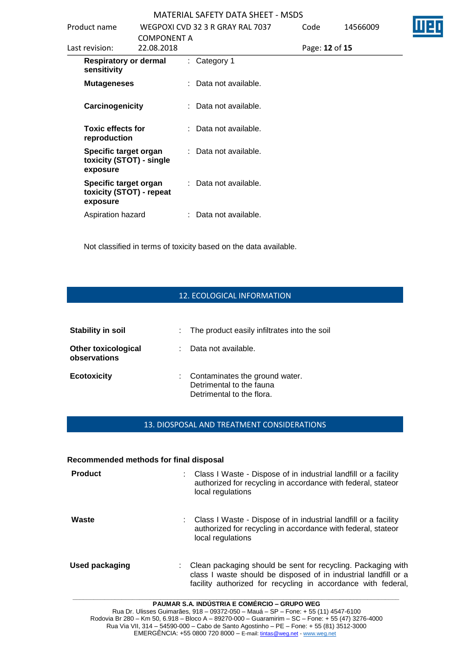| Product name                                                  | <b>COMPONENT A</b> | WEGPOXI CVD 32 3 R GRAY RAL 7037 | Code           | 14566009 |  |
|---------------------------------------------------------------|--------------------|----------------------------------|----------------|----------|--|
| Last revision:                                                | 22.08.2018         |                                  | Page: 12 of 15 |          |  |
| <b>Respiratory or dermal</b><br>sensitivity                   |                    | $:$ Category 1                   |                |          |  |
| <b>Mutageneses</b>                                            |                    | : Data not available.            |                |          |  |
| Carcinogenicity                                               |                    | : Data not available.            |                |          |  |
| <b>Toxic effects for</b><br>reproduction                      |                    | : Data not available.            |                |          |  |
| Specific target organ<br>toxicity (STOT) - single<br>exposure |                    | : Data not available.            |                |          |  |
| Specific target organ<br>toxicity (STOT) - repeat<br>exposure |                    | : Data not available.            |                |          |  |
| Aspiration hazard                                             |                    | : Data not available.            |                |          |  |

Not classified in terms of toxicity based on the data available.

### 12. ECOLOGICAL INFORMATION

| Stability in soil                          | : The product easily infiltrates into the soil                                          |
|--------------------------------------------|-----------------------------------------------------------------------------------------|
| <b>Other toxicological</b><br>observations | Data not available.                                                                     |
| <b>Ecotoxicity</b>                         | Contaminates the ground water.<br>Detrimental to the fauna<br>Detrimental to the flora. |

## 13. DIOSPOSAL AND TREATMENT CONSIDERATIONS

#### **Recommended methods for final disposal**

| <b>Product</b> | Class I Waste - Dispose of in industrial landfill or a facility<br>authorized for recycling in accordance with federal, stateor<br>local regulations                                             |
|----------------|--------------------------------------------------------------------------------------------------------------------------------------------------------------------------------------------------|
| Waste          | : Class I Waste - Dispose of in industrial landfill or a facility<br>authorized for recycling in accordance with federal, stateor<br>local regulations                                           |
| Used packaging | Clean packaging should be sent for recycling. Packaging with<br>class I waste should be disposed of in industrial landfill or a<br>facility authorized for recycling in accordance with federal, |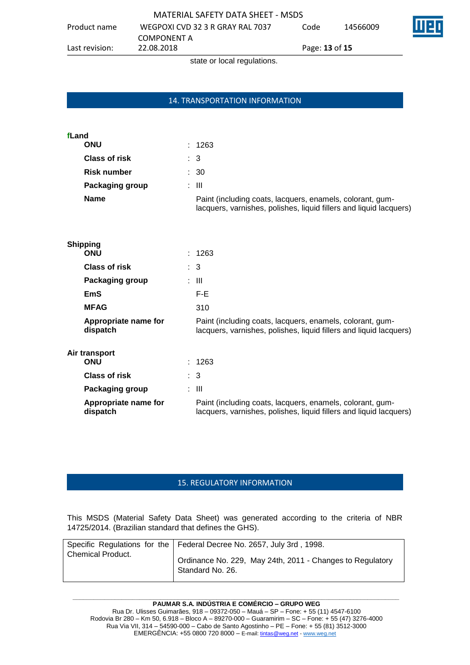Product name WEGPOXI CVD 32 3 R GRAY RAL 7037

COMPONENT A<br>22.08.2018

Code 14566009



Last revision: 22.08.2018 Page: **13** of **15**

state or local regulations.

## 14. TRANSPORTATION INFORMATION

## **fLand**

| ONU                  | : 1263                                                                                                                          |
|----------------------|---------------------------------------------------------------------------------------------------------------------------------|
| <b>Class of risk</b> | $\therefore$ 3                                                                                                                  |
| Risk number          | : 30                                                                                                                            |
| Packaging group      | : III                                                                                                                           |
| Name                 | Paint (including coats, lacquers, enamels, colorant, gum-<br>lacquers, varnishes, polishes, liquid fillers and liquid lacquers) |

## **Shipping**

| : 1263                                                                                                                          |
|---------------------------------------------------------------------------------------------------------------------------------|
| $\therefore$ 3                                                                                                                  |
| : III                                                                                                                           |
| F-E                                                                                                                             |
| 310                                                                                                                             |
| Paint (including coats, lacquers, enamels, colorant, gum-<br>lacquers, varnishes, polishes, liquid fillers and liquid lacquers) |
|                                                                                                                                 |
| : 1263                                                                                                                          |
| $\therefore$ 3                                                                                                                  |
| : III                                                                                                                           |
| Paint (including coats, lacquers, enamels, colorant, gum-<br>lacquers, varnishes, polishes, liquid fillers and liquid lacquers) |
|                                                                                                                                 |

## 15. REGULATORY INFORMATION

This MSDS (Material Safety Data Sheet) was generated according to the criteria of NBR 14725/2014. (Brazilian standard that defines the GHS).

|                          | Specific Regulations for the   Federal Decree No. 2657, July 3rd, 1998.       |
|--------------------------|-------------------------------------------------------------------------------|
| <b>Chemical Product.</b> | Ordinance No. 229, May 24th, 2011 - Changes to Regulatory<br>Standard No. 26. |
|                          |                                                                               |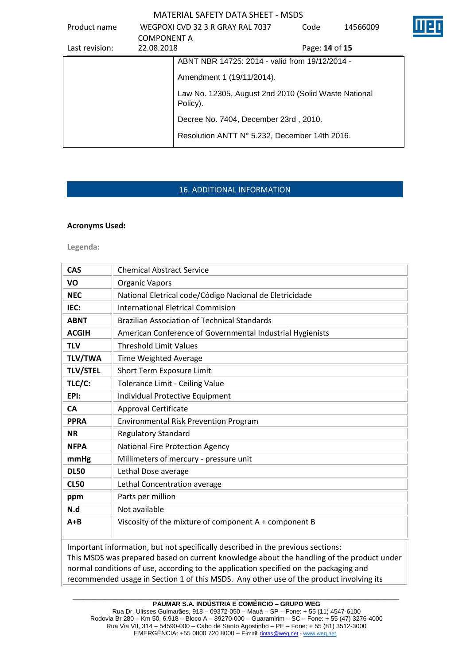| Product name   | <b>COMPONENT A</b>                                               | WEGPOXI CVD 32 3 R GRAY RAL 7037               | Code                  | 14566009 |  |
|----------------|------------------------------------------------------------------|------------------------------------------------|-----------------------|----------|--|
| Last revision: | 22.08.2018                                                       |                                                | Page: <b>14 of 15</b> |          |  |
|                |                                                                  | ABNT NBR 14725: 2014 - valid from 19/12/2014 - |                       |          |  |
|                |                                                                  | Amendment 1 (19/11/2014).                      |                       |          |  |
|                | Law No. 12305, August 2nd 2010 (Solid Waste National<br>Policy). |                                                |                       |          |  |
|                |                                                                  | Decree No. 7404, December 23rd, 2010.          |                       |          |  |
|                |                                                                  | Resolution ANTT N° 5.232, December 14th 2016.  |                       |          |  |

## 16. ADDITIONAL INFORMATION

#### **Acronyms Used:**

**Legenda:**

| <b>CAS</b>      | <b>Chemical Abstract Service</b>                                                                                                                                             |
|-----------------|------------------------------------------------------------------------------------------------------------------------------------------------------------------------------|
| VO              | <b>Organic Vapors</b>                                                                                                                                                        |
| <b>NEC</b>      | National Eletrical code/Código Nacional de Eletricidade                                                                                                                      |
| IEC:            | <b>International Eletrical Commision</b>                                                                                                                                     |
| <b>ABNT</b>     | <b>Brazilian Association of Technical Standards</b>                                                                                                                          |
| <b>ACGIH</b>    | American Conference of Governmental Industrial Hygienists                                                                                                                    |
| <b>TLV</b>      | <b>Threshold Limit Values</b>                                                                                                                                                |
| <b>TLV/TWA</b>  | Time Weighted Average                                                                                                                                                        |
| <b>TLV/STEL</b> | Short Term Exposure Limit                                                                                                                                                    |
| TLC/C:          | Tolerance Limit - Ceiling Value                                                                                                                                              |
| EPI:            | Individual Protective Equipment                                                                                                                                              |
| <b>CA</b>       | <b>Approval Certificate</b>                                                                                                                                                  |
| <b>PPRA</b>     | <b>Environmental Risk Prevention Program</b>                                                                                                                                 |
| <b>NR</b>       | <b>Regulatory Standard</b>                                                                                                                                                   |
| <b>NFPA</b>     | National Fire Protection Agency                                                                                                                                              |
| mmHg            | Millimeters of mercury - pressure unit                                                                                                                                       |
| <b>DL50</b>     | Lethal Dose average                                                                                                                                                          |
| <b>CL50</b>     | Lethal Concentration average                                                                                                                                                 |
| ppm             | Parts per million                                                                                                                                                            |
| N.d             | Not available                                                                                                                                                                |
| $A + B$         | Viscosity of the mixture of component A + component B                                                                                                                        |
|                 | Important information, but not specifically described in the previous sections:<br>This MSDS was prepared based on current knowledge about the handling of the product under |

This MSDS was prepared based on current knowledge about the handling of the product under normal conditions of use, according to the application specified on the packaging and recommended usage in Section 1 of this MSDS. Any other use of the product involving its

**\_\_\_\_\_\_\_\_\_\_\_\_\_\_\_\_\_\_\_\_\_\_\_\_\_\_\_\_\_\_\_\_\_\_\_\_\_\_\_\_\_\_\_\_\_\_\_\_\_\_\_\_\_\_\_\_\_\_\_\_\_\_\_\_\_\_\_\_\_\_\_\_\_\_\_\_\_\_\_\_\_\_\_\_\_\_\_\_\_\_\_\_\_ PAUMAR S.A. INDÚSTRIA E COMÉRCIO – GRUPO WEG**